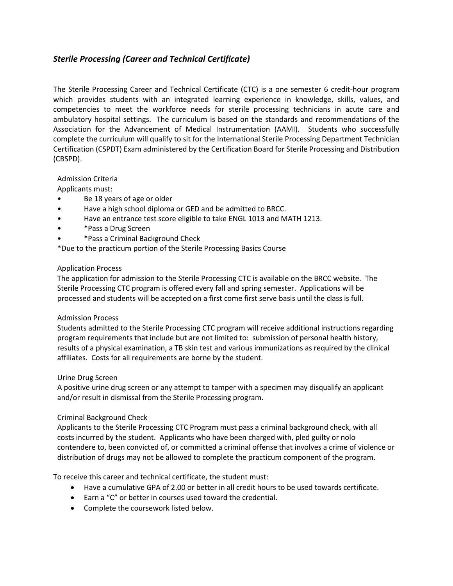# *Sterile Processing (Career and Technical Certificate)*

The Sterile Processing Career and Technical Certificate (CTC) is a one semester 6 credit-hour program which provides students with an integrated learning experience in knowledge, skills, values, and competencies to meet the workforce needs for sterile processing technicians in acute care and ambulatory hospital settings. The curriculum is based on the standards and recommendations of the Association for the Advancement of Medical Instrumentation (AAMI). Students who successfully complete the curriculum will qualify to sit for the International Sterile Processing Department Technician Certification (CSPDT) Exam administered by the Certification Board for Sterile Processing and Distribution (CBSPD).

Admission Criteria

Applicants must:

- Be 18 years of age or older
- Have a high school diploma or GED and be admitted to BRCC.
- Have an entrance test score eligible to take ENGL 1013 and MATH 1213.
- \*Pass a Drug Screen
- \*Pass a Criminal Background Check

\*Due to the practicum portion of the Sterile Processing Basics Course

## Application Process

The application for admission to the Sterile Processing CTC is available on the BRCC website. The Sterile Processing CTC program is offered every fall and spring semester. Applications will be processed and students will be accepted on a first come first serve basis until the class is full.

# Admission Process

Students admitted to the Sterile Processing CTC program will receive additional instructions regarding program requirements that include but are not limited to: submission of personal health history, results of a physical examination, a TB skin test and various immunizations as required by the clinical affiliates. Costs for all requirements are borne by the student.

#### Urine Drug Screen

A positive urine drug screen or any attempt to tamper with a specimen may disqualify an applicant and/or result in dismissal from the Sterile Processing program.

# Criminal Background Check

Applicants to the Sterile Processing CTC Program must pass a criminal background check, with all costs incurred by the student. Applicants who have been charged with, pled guilty or nolo contendere to, been convicted of, or committed a criminal offense that involves a crime of violence or distribution of drugs may not be allowed to complete the practicum component of the program.

To receive this career and technical certificate, the student must:

- Have a cumulative GPA of 2.00 or better in all credit hours to be used towards certificate.
- Earn a "C" or better in courses used toward the credential.
- Complete the coursework listed below.